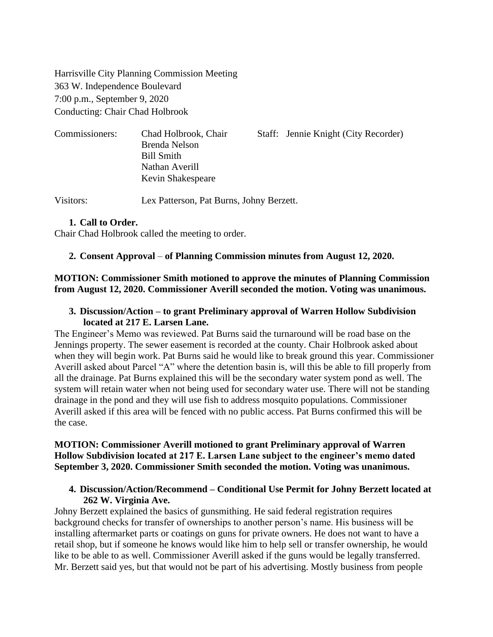Harrisville City Planning Commission Meeting 363 W. Independence Boulevard 7:00 p.m., September 9, 2020 Conducting: Chair Chad Holbrook

| Commissioners: | Chad Holbrook, Chair | Staff: Jennie Knight (City Recorder) |
|----------------|----------------------|--------------------------------------|
|                | Brenda Nelson        |                                      |
|                | Bill Smith           |                                      |
|                | Nathan Averill       |                                      |
|                | Kevin Shakespeare    |                                      |
|                |                      |                                      |

Visitors: Lex Patterson, Pat Burns, Johny Berzett.

### **1. Call to Order.**

Chair Chad Holbrook called the meeting to order.

### **2. Consent Approval** – **of Planning Commission minutes from August 12, 2020.**

## **MOTION: Commissioner Smith motioned to approve the minutes of Planning Commission from August 12, 2020. Commissioner Averill seconded the motion. Voting was unanimous.**

#### **3. Discussion/Action – to grant Preliminary approval of Warren Hollow Subdivision located at 217 E. Larsen Lane.**

The Engineer's Memo was reviewed. Pat Burns said the turnaround will be road base on the Jennings property. The sewer easement is recorded at the county. Chair Holbrook asked about when they will begin work. Pat Burns said he would like to break ground this year. Commissioner Averill asked about Parcel "A" where the detention basin is, will this be able to fill properly from all the drainage. Pat Burns explained this will be the secondary water system pond as well. The system will retain water when not being used for secondary water use. There will not be standing drainage in the pond and they will use fish to address mosquito populations. Commissioner Averill asked if this area will be fenced with no public access. Pat Burns confirmed this will be the case.

## **MOTION: Commissioner Averill motioned to grant Preliminary approval of Warren Hollow Subdivision located at 217 E. Larsen Lane subject to the engineer's memo dated September 3, 2020. Commissioner Smith seconded the motion. Voting was unanimous.**

### **4. Discussion/Action/Recommend – Conditional Use Permit for Johny Berzett located at 262 W. Virginia Ave.**

Johny Berzett explained the basics of gunsmithing. He said federal registration requires background checks for transfer of ownerships to another person's name. His business will be installing aftermarket parts or coatings on guns for private owners. He does not want to have a retail shop, but if someone he knows would like him to help sell or transfer ownership, he would like to be able to as well. Commissioner Averill asked if the guns would be legally transferred. Mr. Berzett said yes, but that would not be part of his advertising. Mostly business from people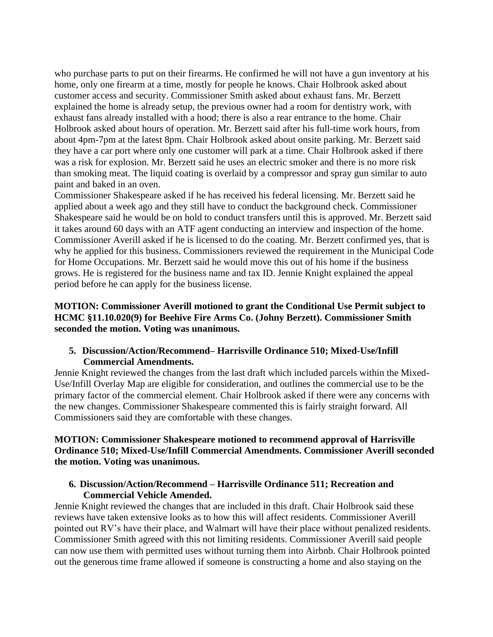who purchase parts to put on their firearms. He confirmed he will not have a gun inventory at his home, only one firearm at a time, mostly for people he knows. Chair Holbrook asked about customer access and security. Commissioner Smith asked about exhaust fans. Mr. Berzett explained the home is already setup, the previous owner had a room for dentistry work, with exhaust fans already installed with a hood; there is also a rear entrance to the home. Chair Holbrook asked about hours of operation. Mr. Berzett said after his full-time work hours, from about 4pm-7pm at the latest 8pm. Chair Holbrook asked about onsite parking. Mr. Berzett said they have a car port where only one customer will park at a time. Chair Holbrook asked if there was a risk for explosion. Mr. Berzett said he uses an electric smoker and there is no more risk than smoking meat. The liquid coating is overlaid by a compressor and spray gun similar to auto paint and baked in an oven.

Commissioner Shakespeare asked if he has received his federal licensing. Mr. Berzett said he applied about a week ago and they still have to conduct the background check. Commissioner Shakespeare said he would be on hold to conduct transfers until this is approved. Mr. Berzett said it takes around 60 days with an ATF agent conducting an interview and inspection of the home. Commissioner Averill asked if he is licensed to do the coating. Mr. Berzett confirmed yes, that is why he applied for this business. Commissioners reviewed the requirement in the Municipal Code for Home Occupations. Mr. Berzett said he would move this out of his home if the business grows. He is registered for the business name and tax ID. Jennie Knight explained the appeal period before he can apply for the business license.

**MOTION: Commissioner Averill motioned to grant the Conditional Use Permit subject to HCMC §11.10.020(9) for Beehive Fire Arms Co. (Johny Berzett). Commissioner Smith seconded the motion. Voting was unanimous.**

## **5. Discussion/Action/Recommend– Harrisville Ordinance 510; Mixed-Use/Infill Commercial Amendments.**

Jennie Knight reviewed the changes from the last draft which included parcels within the Mixed-Use/Infill Overlay Map are eligible for consideration, and outlines the commercial use to be the primary factor of the commercial element. Chair Holbrook asked if there were any concerns with the new changes. Commissioner Shakespeare commented this is fairly straight forward. All Commissioners said they are comfortable with these changes.

## **MOTION: Commissioner Shakespeare motioned to recommend approval of Harrisville Ordinance 510; Mixed-Use/Infill Commercial Amendments. Commissioner Averill seconded the motion. Voting was unanimous.**

## **6. Discussion/Action/Recommend – Harrisville Ordinance 511; Recreation and Commercial Vehicle Amended.**

Jennie Knight reviewed the changes that are included in this draft. Chair Holbrook said these reviews have taken extensive looks as to how this will affect residents. Commissioner Averill pointed out RV's have their place, and Walmart will have their place without penalized residents. Commissioner Smith agreed with this not limiting residents. Commissioner Averill said people can now use them with permitted uses without turning them into Airbnb. Chair Holbrook pointed out the generous time frame allowed if someone is constructing a home and also staying on the